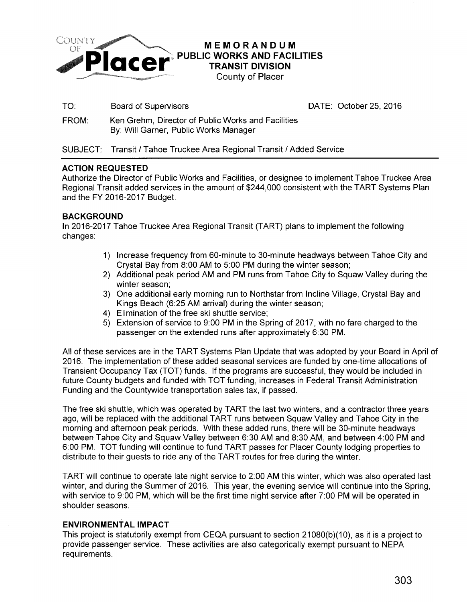

Board of Supervisors **DATE: October 25, 2016** 

FROM: Ken Grehm, Director of Public Works and Facilities By: Will Garner, Public Works Manager

SUBJECT: Transit / Tahoe Truckee Area Regional Transit / Added Service

## **ACTION REQUESTED**

Authorize the Director of Public Works and Facilities, or designee to implement Tahoe Truckee Area Regional Transit added services in the amount of \$244,000 consistent with the TART Systems Plan and the FY 2016-2017 Budget.

## **BACKGROUND**

TO:

In 2016-2017 Tahoe Truckee Area Regional Transit (TART) plans to implement the following changes:

- 1) Increase frequency from 60-minute to 30-minute headways between Tahoe City and Crystal Bay from 8:00 AM to 5:00 PM during the winter season;
- 2) Additional peak period AM and PM runs from Tahoe City to Squaw Valley during the winter season;
- 3) One additional early morning run to Northstar from Incline Village, Crystal Bay and Kings Beach (6:25AM arrival) during the winter season;
- 4) Elimination of the free ski shuttle service;
- 5) Extension of service to 9:00 PM in the Spring of 2017, with no fare charged to the passenger on the extended runs after approximately 6:30 PM.

All of these services are in the TART Systems Plan Update that was adopted by your Board in April of 2016. The implementation of these added seasonal services are funded by one-time allocations of Transient Occupancy Tax (TOT) funds. If the programs are successful, they would be included in future County budgets and funded with TOT funding, increases in Federal Transit Administration Funding and the Countywide transportation sales tax, if passed.

The free ski shuttle, which was operated by TART the last two winters, and a contractor three years ago, will be replaced with the additional TART runs between Squaw Valley and Tahoe City in the morning and afternoon peak periods. With these added runs, there will be 30-minute headways between Tahoe City and Squaw Valley between 6:30 AM and 8:30 AM, and between 4:00 PM and 6:00PM. TOT funding will continue to fund TART passes for Placer County lodging properties to distribute to their guests to ride any of the TART routes for free during the winter.

TART will continue to operate late night service to 2:00AM this winter, which was also operated last winter, and during the Summer of 2016. This year, the evening service will continue into the Spring, with service to 9:00 PM, which will be the first time night service after 7:00 PM will be operated in shoulder seasons.

## **ENVIRONMENTAL IMPACT**

This project is statutorily exempt from CEQA pursuant to section 21080(b)(10), as it is a project to provide passenger service. These activities are also categorically exempt pursuant to NEPA requirements.